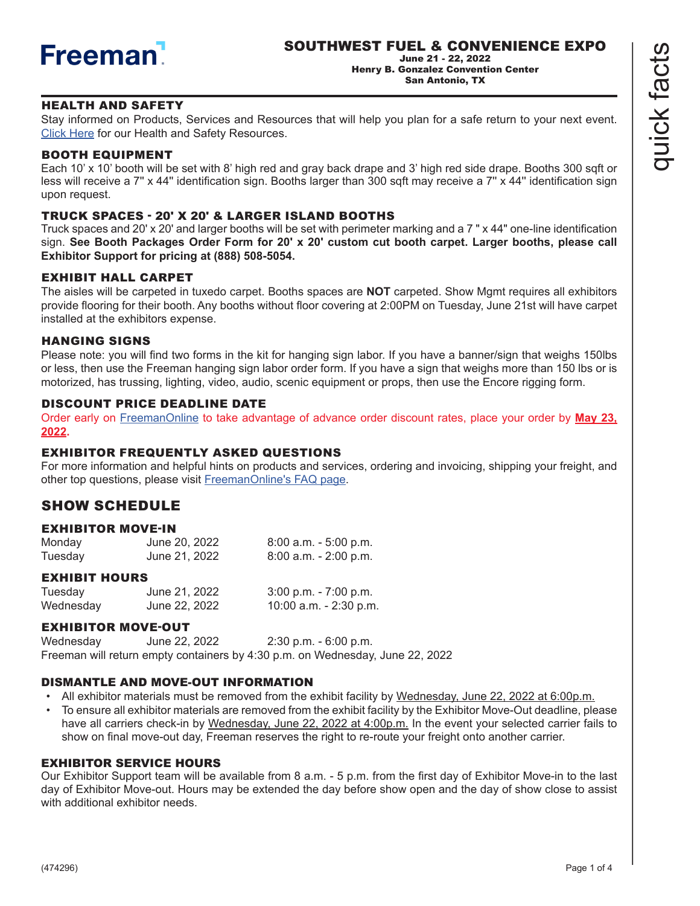

June 21 - 22, 2022 Henry B. Gonzalez Convention Center San Antonio, TX

# HEALTH AND SAFETY

Stay informed on Products, Services and Resources that will help you plan for a safe return to your next event. [Click Here](https://www.freeman.com/resources/collection/how-to-safely-return-to-exhibiting/) for our Health and Safety Resources.

# BOOTH EQUIPMENT

Each 10' x 10' booth will be set with 8' high red and gray back drape and 3' high red side drape. Booths 300 sqft or less will receive a 7" x 44" identification sign. Booths larger than 300 sqft may receive a 7" x 44" identification sign upon request.

### TRUCK SPACES - 20' X 20' & LARGER ISLAND BOOTHS

Truck spaces and 20' x 20' and larger booths will be set with perimeter marking and a 7 " x 44" one-line identification sign. **See Booth Packages Order Form for 20' x 20' custom cut booth carpet. Larger booths, please call Exhibitor Support for pricing at (888) 508-5054.**

#### EXHIBIT HALL CARPE[T](https://s3.amazonaws.com/freeman-craft-assets/resources/Exhibitor-FAQ-Preshow.pdf)

The aisles will be carpeted in tuxedo carpet. Booths spaces are **NOT** carpeted. Show Mgmt requires all exhibitors provide flooring for their booth. Any booths without floor covering at 2:00PM on Tuesday, June 21st will have carpet installed at the exhibitors expense.

#### HANGING SIGNS

Please note: you will find two forms in the kit for hanging sign labor. If you have a banner/sign that weighs 150lbs or less, then use the Freeman hanging sign labor order form. If you have a sign that weighs more than 150 lbs or is motorized, has trussing, lighting, video, audio, scenic equipment or props, then use the Encore rigging form.

#### DISCOUNT PRICE DEADLINE DATE

Order early on [FreemanOnline](https://www.freemanco.com/store?utm_source=Forms&utm_medium=PDF ) to take advantage of advance order discount rates, place your order by **May 23, 2022.** 

#### EXHIBITOR FREQUENTLY ASKED QUESTIONS

For more information and helpful hints on products and services, ordering and invoicing, shipping your freight, and other top questions, please visit [FreemanOnline's FAQ page](https://www.freemanco.com/store/faqs).

# SHOW SCHEDULE

#### EXHIBITOR MOVE-IN

| Monday  | June 20, 2022 | $8:00$ a.m. $-5:00$ p.m. |
|---------|---------------|--------------------------|
| Tuesday | June 21, 2022 | $8:00$ a.m. - 2:00 p.m.  |

#### EXHIBIT HOURS

| Tuesday   | June 21, 2022 | $3:00$ p.m. - $7:00$ p.m. |
|-----------|---------------|---------------------------|
| Wednesday | June 22, 2022 | 10:00 a.m. - 2:30 p.m.    |

### EXHIBITOR MOVE-OUT

Wednesday June 22, 2022 2:30 p.m. - 6:00 p.m. Freeman will return empty containers by 4:30 p.m. on Wednesday, June 22, 2022

#### DISMANTLE AND MOVE-OUT INFORMATION

- All exhibitor materials must be removed from the exhibit facility by Wednesday, June 22, 2022 at 6:00p.m.
- To ensure all exhibitor materials are removed from the exhibit facility by the Exhibitor Move-Out deadline, please have all carriers check-in by Wednesday, June 22, 2022 at 4:00p.m. In the event your selected carrier fails to show on final move-out day, Freeman reserves the right to re-route your freight onto another carrier.

#### EXHIBITOR SERVICE HOURS

Our Exhibitor Support team will be available from 8 a.m. - 5 p.m. from the first day of Exhibitor Move-in to the last day of Exhibitor Move-out. Hours may be extended the day before show open and the day of show close to assist with additional exhibitor needs.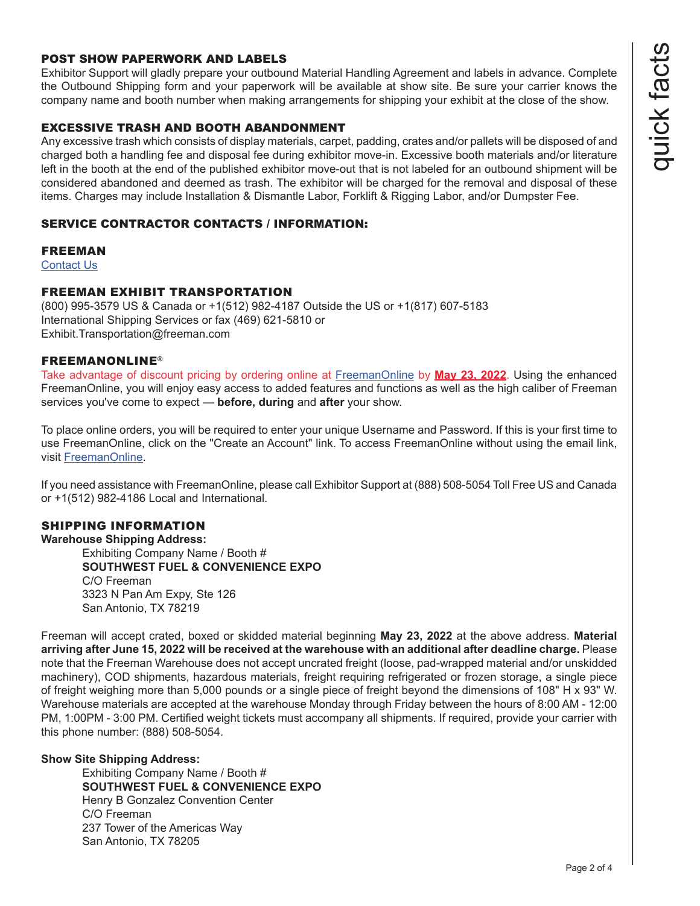# POST SHOW PAPERWORK AND LABELS

Exhibitor Support will gladly prepare your outbound Material Handling Agreement and labels in advance. Complete the Outbound Shipping form and your paperwork will be available at show site. Be sure your carrier knows the company name and booth number when making arrangements for shipping your exhibit at the close of the show.

# EXCESSIVE TRASH AND BOOTH ABANDONMENT

Any excessive trash which consists of display materials, carpet, padding, crates and/or pallets will be disposed of and charged both a handling fee and disposal fee during exhibitor move-in. Excessive booth materials and/or literature left in the booth at the end of the published exhibitor move-out that is not labeled for an outbound shipment will be considered abandoned and deemed as trash. The exhibitor will be charged for the removal and disposal of these items. Charges may include Installation & Dismantle Labor, Forklift & Rigging Labor, and/or Dumpster Fee.

#### SERVICE CONTRACTOR CONTACTS / INFORMATION:

### FREEMAN

**[Contact Us](https://www.freemanco.com/store/faqs#contactUS)** 

#### FREEMAN EXHIBIT TRANSPORTATION

(800) 995-3579 US & Canada or +1(512) 982-4187 Outside the US or +1(817) 607-5183 International Shipping Services or fax (469) 621-5810 or Exhibit.Transportation@freeman.com

# FREEMANONLINE®

Take advantage of discount pricing by ordering online at [FreemanOnline](https://www.freemanco.com/store?utm_source=Forms&utm_medium=PDF ) by **May 23, 2022**. Using the enhanced FreemanOnline, you will enjoy easy access to added features and functions as well as the high caliber of Freeman services you've come to expect — **before, during** and **after** your show.

To place online orders, you will be required to enter your unique Username and Password. If this is your first time to use FreemanOnline, click on the "Create an Account" link. To access FreemanOnline without using the email link, visit [FreemanOnline.](https://www.freemanco.com/store/index.jsp?utm_source=quickfacts&utm_campaign=general )

If you need assistance with FreemanOnline, please call Exhibitor Support at (888) 508-5054 Toll Free US and Canada or +1(512) 982-4186 Local and International.

#### SHIPPING INFORMATION

**Warehouse Shipping Address:** Exhibiting Company Name / Booth # **SOUTHWEST FUEL & CONVENIENCE EXPO** C/O Freeman 3323 N Pan Am Expy, Ste 126 San Antonio, TX 78219

Freeman will accept crated, boxed or skidded material beginning **May 23, 2022** at the above address. **Material arriving after June 15, 2022 will be received at the warehouse with an additional after deadline charge.** Please note that the Freeman Warehouse does not accept uncrated freight (loose, pad-wrapped material and/or unskidded machinery), COD shipments, hazardous materials, freight requiring refrigerated or frozen storage, a single piece of freight weighing more than 5,000 pounds or a single piece of freight beyond the dimensions of 108" H x 93" W. Warehouse materials are accepted at the warehouse Monday through Friday between the hours of 8:00 AM - 12:00 PM, 1:00PM - 3:00 PM. Certified weight tickets must accompany all shipments. If required, provide your carrier with this phone number: (888) 508-5054.

#### **Show Site Shipping Address:**

Exhibiting Company Name / Booth # **SOUTHWEST FUEL & CONVENIENCE EXPO** Henry B Gonzalez Convention Center C/O Freeman 237 Tower of the Americas Way San Antonio, TX 78205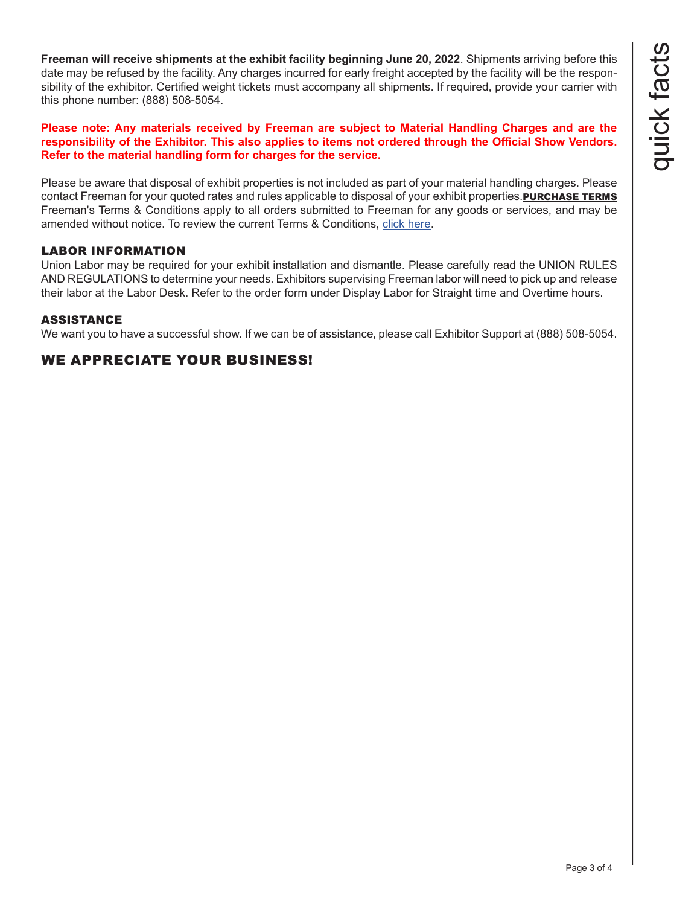**Freeman will receive shipments at the exhibit facility beginning June 20, 2022**. Shipments arriving before this date may be refused by the facility. Any charges incurred for early freight accepted by the facility will be the responsibility of the exhibitor. Certified weight tickets must accompany all shipments. If required, provide your carrier with this phone number: (888) 508-5054.

#### **Please note: Any materials received by Freeman are subject to Material Handling Charges and are the responsibility of the Exhibitor. This also applies to items not ordered through the Official Show Vendors. Refer to the material handling form for charges for the service.**

Please be aware that disposal of exhibit properties is not included as part of your material handling charges. Please contact Freeman for your quoted rates and rules applicable to disposal of your exhibit properties. PURCHASE TERMS Freeman's Terms & Conditions apply to all orders submitted to Freeman for any goods or services, and may be amended without notice. To review the current Terms & Conditions, [click here.](https://www.freemanco.com/store/footerPages/footerPagesProfileFrame.jsp?page=purchaseTerms&_ga=2.176437029.1419744130.1584226036-1715307741.1584226036)

# LABOR INFORMATION

Union Labor may be required for your exhibit installation and dismantle. Please carefully read the UNION RULES AND REGULATIONS to determine your needs. Exhibitors supervising Freeman labor will need to pick up and release their labor at the Labor Desk. Refer to the order form under Display Labor for Straight time and Overtime hours.

### ASSISTANCE

We want you to have a successful show. If we can be of assistance, please call Exhibitor Support at (888) 508-5054.

# WE APPRECIATE YOUR BUSINESS!